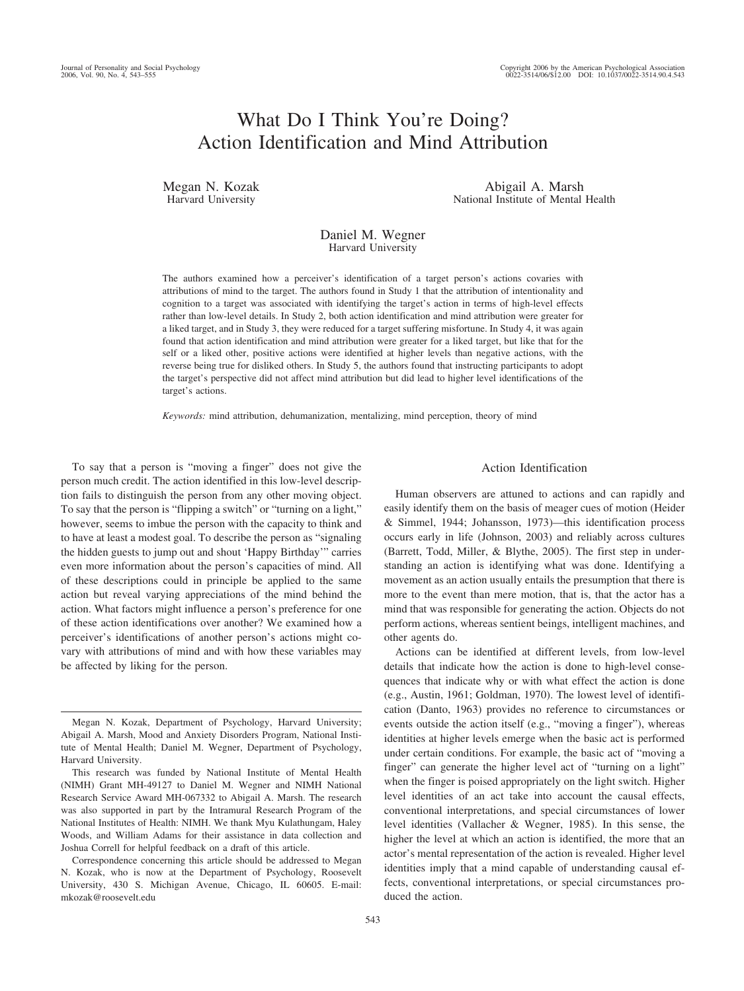# What Do I Think You're Doing? Action Identification and Mind Attribution

Megan N. Kozak Harvard University

Abigail A. Marsh National Institute of Mental Health

#### Daniel M. Wegner Harvard University

The authors examined how a perceiver's identification of a target person's actions covaries with attributions of mind to the target. The authors found in Study 1 that the attribution of intentionality and cognition to a target was associated with identifying the target's action in terms of high-level effects rather than low-level details. In Study 2, both action identification and mind attribution were greater for a liked target, and in Study 3, they were reduced for a target suffering misfortune. In Study 4, it was again found that action identification and mind attribution were greater for a liked target, but like that for the self or a liked other, positive actions were identified at higher levels than negative actions, with the reverse being true for disliked others. In Study 5, the authors found that instructing participants to adopt the target's perspective did not affect mind attribution but did lead to higher level identifications of the target's actions.

*Keywords:* mind attribution, dehumanization, mentalizing, mind perception, theory of mind

To say that a person is "moving a finger" does not give the person much credit. The action identified in this low-level description fails to distinguish the person from any other moving object. To say that the person is "flipping a switch" or "turning on a light," however, seems to imbue the person with the capacity to think and to have at least a modest goal. To describe the person as "signaling the hidden guests to jump out and shout 'Happy Birthday'" carries even more information about the person's capacities of mind. All of these descriptions could in principle be applied to the same action but reveal varying appreciations of the mind behind the action. What factors might influence a person's preference for one of these action identifications over another? We examined how a perceiver's identifications of another person's actions might covary with attributions of mind and with how these variables may be affected by liking for the person.

## Action Identification

Human observers are attuned to actions and can rapidly and easily identify them on the basis of meager cues of motion (Heider & Simmel, 1944; Johansson, 1973)—this identification process occurs early in life (Johnson, 2003) and reliably across cultures (Barrett, Todd, Miller, & Blythe, 2005). The first step in understanding an action is identifying what was done. Identifying a movement as an action usually entails the presumption that there is more to the event than mere motion, that is, that the actor has a mind that was responsible for generating the action. Objects do not perform actions, whereas sentient beings, intelligent machines, and other agents do.

Actions can be identified at different levels, from low-level details that indicate how the action is done to high-level consequences that indicate why or with what effect the action is done (e.g., Austin, 1961; Goldman, 1970). The lowest level of identification (Danto, 1963) provides no reference to circumstances or events outside the action itself (e.g., "moving a finger"), whereas identities at higher levels emerge when the basic act is performed under certain conditions. For example, the basic act of "moving a finger" can generate the higher level act of "turning on a light" when the finger is poised appropriately on the light switch. Higher level identities of an act take into account the causal effects, conventional interpretations, and special circumstances of lower level identities (Vallacher & Wegner, 1985). In this sense, the higher the level at which an action is identified, the more that an actor's mental representation of the action is revealed. Higher level identities imply that a mind capable of understanding causal effects, conventional interpretations, or special circumstances produced the action.

Megan N. Kozak, Department of Psychology, Harvard University; Abigail A. Marsh, Mood and Anxiety Disorders Program, National Institute of Mental Health; Daniel M. Wegner, Department of Psychology, Harvard University.

This research was funded by National Institute of Mental Health (NIMH) Grant MH-49127 to Daniel M. Wegner and NIMH National Research Service Award MH-067332 to Abigail A. Marsh. The research was also supported in part by the Intramural Research Program of the National Institutes of Health: NIMH. We thank Myu Kulathungam, Haley Woods, and William Adams for their assistance in data collection and Joshua Correll for helpful feedback on a draft of this article.

Correspondence concerning this article should be addressed to Megan N. Kozak, who is now at the Department of Psychology, Roosevelt University, 430 S. Michigan Avenue, Chicago, IL 60605. E-mail: mkozak@roosevelt.edu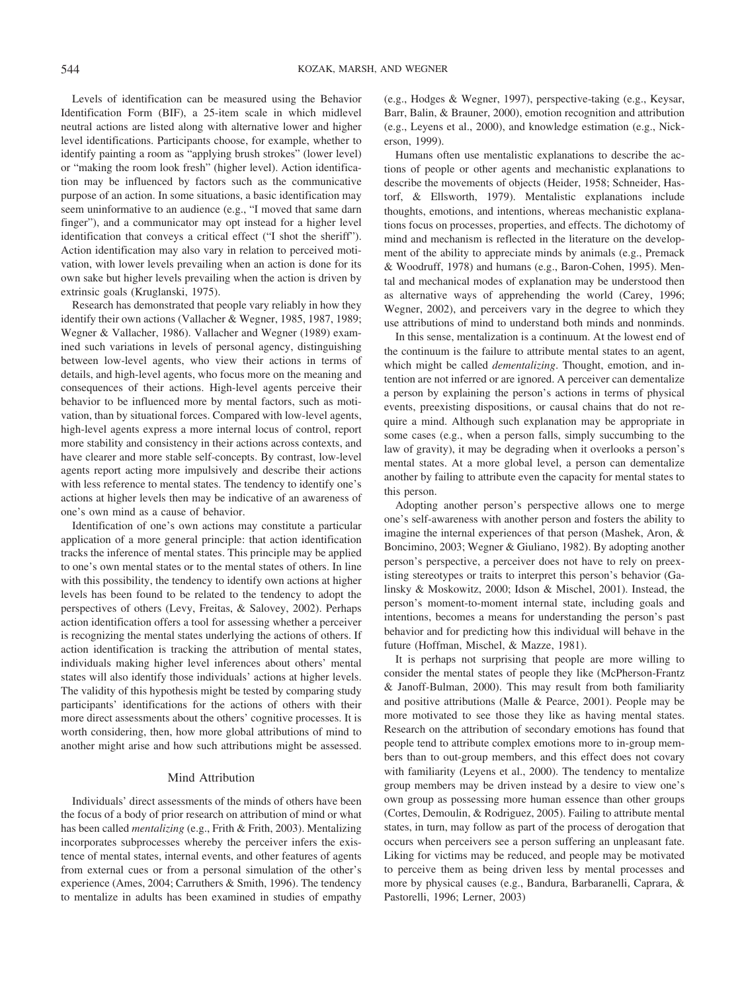Levels of identification can be measured using the Behavior Identification Form (BIF), a 25-item scale in which midlevel neutral actions are listed along with alternative lower and higher level identifications. Participants choose, for example, whether to identify painting a room as "applying brush strokes" (lower level) or "making the room look fresh" (higher level). Action identification may be influenced by factors such as the communicative purpose of an action. In some situations, a basic identification may seem uninformative to an audience (e.g., "I moved that same darn finger"), and a communicator may opt instead for a higher level identification that conveys a critical effect ("I shot the sheriff"). Action identification may also vary in relation to perceived motivation, with lower levels prevailing when an action is done for its own sake but higher levels prevailing when the action is driven by extrinsic goals (Kruglanski, 1975).

Research has demonstrated that people vary reliably in how they identify their own actions (Vallacher & Wegner, 1985, 1987, 1989; Wegner & Vallacher, 1986). Vallacher and Wegner (1989) examined such variations in levels of personal agency, distinguishing between low-level agents, who view their actions in terms of details, and high-level agents, who focus more on the meaning and consequences of their actions. High-level agents perceive their behavior to be influenced more by mental factors, such as motivation, than by situational forces. Compared with low-level agents, high-level agents express a more internal locus of control, report more stability and consistency in their actions across contexts, and have clearer and more stable self-concepts. By contrast, low-level agents report acting more impulsively and describe their actions with less reference to mental states. The tendency to identify one's actions at higher levels then may be indicative of an awareness of one's own mind as a cause of behavior.

Identification of one's own actions may constitute a particular application of a more general principle: that action identification tracks the inference of mental states. This principle may be applied to one's own mental states or to the mental states of others. In line with this possibility, the tendency to identify own actions at higher levels has been found to be related to the tendency to adopt the perspectives of others (Levy, Freitas, & Salovey, 2002). Perhaps action identification offers a tool for assessing whether a perceiver is recognizing the mental states underlying the actions of others. If action identification is tracking the attribution of mental states, individuals making higher level inferences about others' mental states will also identify those individuals' actions at higher levels. The validity of this hypothesis might be tested by comparing study participants' identifications for the actions of others with their more direct assessments about the others' cognitive processes. It is worth considering, then, how more global attributions of mind to another might arise and how such attributions might be assessed.

# Mind Attribution

Individuals' direct assessments of the minds of others have been the focus of a body of prior research on attribution of mind or what has been called *mentalizing* (e.g., Frith & Frith, 2003). Mentalizing incorporates subprocesses whereby the perceiver infers the existence of mental states, internal events, and other features of agents from external cues or from a personal simulation of the other's experience (Ames, 2004; Carruthers & Smith, 1996). The tendency to mentalize in adults has been examined in studies of empathy (e.g., Hodges & Wegner, 1997), perspective-taking (e.g., Keysar, Barr, Balin, & Brauner, 2000), emotion recognition and attribution (e.g., Leyens et al., 2000), and knowledge estimation (e.g., Nickerson, 1999).

Humans often use mentalistic explanations to describe the actions of people or other agents and mechanistic explanations to describe the movements of objects (Heider, 1958; Schneider, Hastorf, & Ellsworth, 1979). Mentalistic explanations include thoughts, emotions, and intentions, whereas mechanistic explanations focus on processes, properties, and effects. The dichotomy of mind and mechanism is reflected in the literature on the development of the ability to appreciate minds by animals (e.g., Premack & Woodruff, 1978) and humans (e.g., Baron-Cohen, 1995). Mental and mechanical modes of explanation may be understood then as alternative ways of apprehending the world (Carey, 1996; Wegner, 2002), and perceivers vary in the degree to which they use attributions of mind to understand both minds and nonminds.

In this sense, mentalization is a continuum. At the lowest end of the continuum is the failure to attribute mental states to an agent, which might be called *dementalizing*. Thought, emotion, and intention are not inferred or are ignored. A perceiver can dementalize a person by explaining the person's actions in terms of physical events, preexisting dispositions, or causal chains that do not require a mind. Although such explanation may be appropriate in some cases (e.g., when a person falls, simply succumbing to the law of gravity), it may be degrading when it overlooks a person's mental states. At a more global level, a person can dementalize another by failing to attribute even the capacity for mental states to this person.

Adopting another person's perspective allows one to merge one's self-awareness with another person and fosters the ability to imagine the internal experiences of that person (Mashek, Aron, & Boncimino, 2003; Wegner & Giuliano, 1982). By adopting another person's perspective, a perceiver does not have to rely on preexisting stereotypes or traits to interpret this person's behavior (Galinsky & Moskowitz, 2000; Idson & Mischel, 2001). Instead, the person's moment-to-moment internal state, including goals and intentions, becomes a means for understanding the person's past behavior and for predicting how this individual will behave in the future (Hoffman, Mischel, & Mazze, 1981).

It is perhaps not surprising that people are more willing to consider the mental states of people they like (McPherson-Frantz & Janoff-Bulman, 2000). This may result from both familiarity and positive attributions (Malle & Pearce, 2001). People may be more motivated to see those they like as having mental states. Research on the attribution of secondary emotions has found that people tend to attribute complex emotions more to in-group members than to out-group members, and this effect does not covary with familiarity (Leyens et al., 2000). The tendency to mentalize group members may be driven instead by a desire to view one's own group as possessing more human essence than other groups (Cortes, Demoulin, & Rodriguez, 2005). Failing to attribute mental states, in turn, may follow as part of the process of derogation that occurs when perceivers see a person suffering an unpleasant fate. Liking for victims may be reduced, and people may be motivated to perceive them as being driven less by mental processes and more by physical causes (e.g., Bandura, Barbaranelli, Caprara, & Pastorelli, 1996; Lerner, 2003)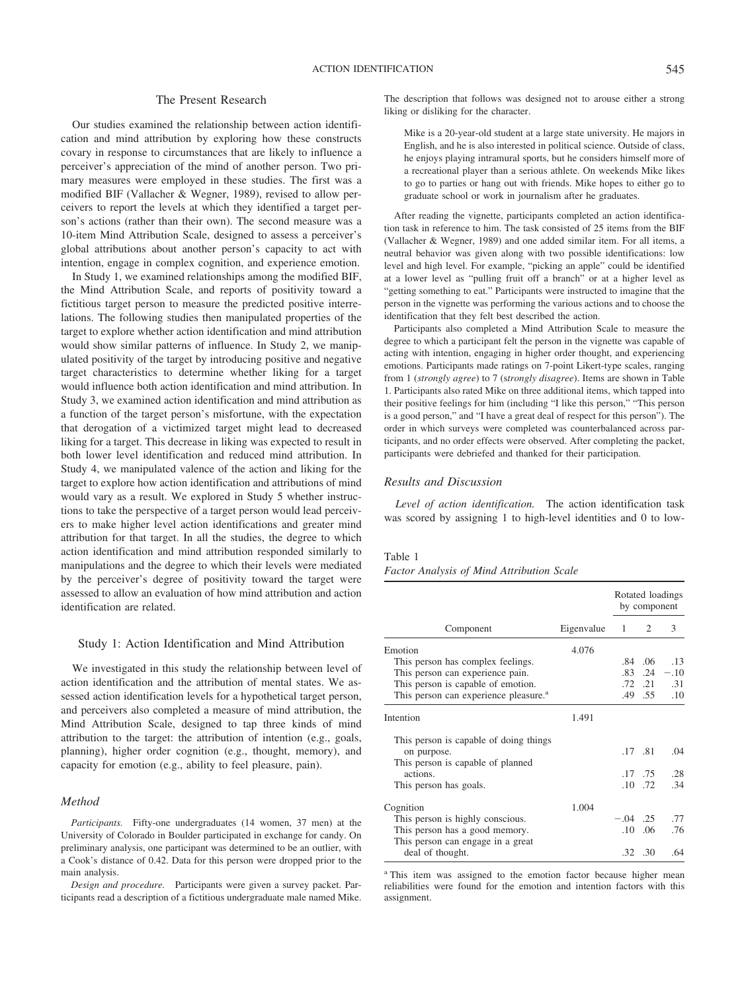## The Present Research

Our studies examined the relationship between action identification and mind attribution by exploring how these constructs covary in response to circumstances that are likely to influence a perceiver's appreciation of the mind of another person. Two primary measures were employed in these studies. The first was a modified BIF (Vallacher & Wegner, 1989), revised to allow perceivers to report the levels at which they identified a target person's actions (rather than their own). The second measure was a 10-item Mind Attribution Scale, designed to assess a perceiver's global attributions about another person's capacity to act with intention, engage in complex cognition, and experience emotion.

In Study 1, we examined relationships among the modified BIF, the Mind Attribution Scale, and reports of positivity toward a fictitious target person to measure the predicted positive interrelations. The following studies then manipulated properties of the target to explore whether action identification and mind attribution would show similar patterns of influence. In Study 2, we manipulated positivity of the target by introducing positive and negative target characteristics to determine whether liking for a target would influence both action identification and mind attribution. In Study 3, we examined action identification and mind attribution as a function of the target person's misfortune, with the expectation that derogation of a victimized target might lead to decreased liking for a target. This decrease in liking was expected to result in both lower level identification and reduced mind attribution. In Study 4, we manipulated valence of the action and liking for the target to explore how action identification and attributions of mind would vary as a result. We explored in Study 5 whether instructions to take the perspective of a target person would lead perceivers to make higher level action identifications and greater mind attribution for that target. In all the studies, the degree to which action identification and mind attribution responded similarly to manipulations and the degree to which their levels were mediated by the perceiver's degree of positivity toward the target were assessed to allow an evaluation of how mind attribution and action identification are related.

#### Study 1: Action Identification and Mind Attribution

We investigated in this study the relationship between level of action identification and the attribution of mental states. We assessed action identification levels for a hypothetical target person, and perceivers also completed a measure of mind attribution, the Mind Attribution Scale, designed to tap three kinds of mind attribution to the target: the attribution of intention (e.g., goals, planning), higher order cognition (e.g., thought, memory), and capacity for emotion (e.g., ability to feel pleasure, pain).

#### *Method*

*Participants.* Fifty-one undergraduates (14 women, 37 men) at the University of Colorado in Boulder participated in exchange for candy. On preliminary analysis, one participant was determined to be an outlier, with a Cook's distance of 0.42. Data for this person were dropped prior to the main analysis.

*Design and procedure.* Participants were given a survey packet. Participants read a description of a fictitious undergraduate male named Mike. The description that follows was designed not to arouse either a strong liking or disliking for the character.

Mike is a 20-year-old student at a large state university. He majors in English, and he is also interested in political science. Outside of class, he enjoys playing intramural sports, but he considers himself more of a recreational player than a serious athlete. On weekends Mike likes to go to parties or hang out with friends. Mike hopes to either go to graduate school or work in journalism after he graduates.

After reading the vignette, participants completed an action identification task in reference to him. The task consisted of 25 items from the BIF (Vallacher & Wegner, 1989) and one added similar item. For all items, a neutral behavior was given along with two possible identifications: low level and high level. For example, "picking an apple" could be identified at a lower level as "pulling fruit off a branch" or at a higher level as "getting something to eat." Participants were instructed to imagine that the person in the vignette was performing the various actions and to choose the identification that they felt best described the action.

Participants also completed a Mind Attribution Scale to measure the degree to which a participant felt the person in the vignette was capable of acting with intention, engaging in higher order thought, and experiencing emotions. Participants made ratings on 7-point Likert-type scales, ranging from 1 (*strongly agree*) to 7 (s*trongly disagree*). Items are shown in Table 1. Participants also rated Mike on three additional items, which tapped into their positive feelings for him (including "I like this person," "This person is a good person," and "I have a great deal of respect for this person"). The order in which surveys were completed was counterbalanced across participants, and no order effects were observed. After completing the packet, participants were debriefed and thanked for their participation.

## *Results and Discussion*

*Level of action identification.* The action identification task was scored by assigning 1 to high-level identities and 0 to low-

# Table 1

|  |  |  |  | <b>Factor Analysis of Mind Attribution Scale</b> |  |
|--|--|--|--|--------------------------------------------------|--|
|--|--|--|--|--------------------------------------------------|--|

|       |   | Rotated loadings<br>by component |                                                                                                                                                           |
|-------|---|----------------------------------|-----------------------------------------------------------------------------------------------------------------------------------------------------------|
|       | 1 | 2                                | 3                                                                                                                                                         |
| 4.076 |   |                                  |                                                                                                                                                           |
|       |   |                                  | .13                                                                                                                                                       |
|       |   |                                  |                                                                                                                                                           |
|       |   |                                  |                                                                                                                                                           |
|       |   |                                  | .10                                                                                                                                                       |
| 1.491 |   |                                  |                                                                                                                                                           |
|       |   |                                  |                                                                                                                                                           |
|       |   |                                  | .04                                                                                                                                                       |
|       |   |                                  | .28                                                                                                                                                       |
|       |   |                                  |                                                                                                                                                           |
|       |   |                                  | .34                                                                                                                                                       |
| 1.004 |   |                                  |                                                                                                                                                           |
|       |   |                                  | .77                                                                                                                                                       |
|       |   |                                  | .76                                                                                                                                                       |
|       |   |                                  | .64                                                                                                                                                       |
|       |   | Eigenvalue                       | .84 .06<br>$.83$ $.24$ $-.10$<br>$.72$ $.21$ $.31$<br>.49 .55<br>$.17$ $.81$<br>.17.75<br>$.10$ $.72$<br>$-.04$ .25<br>$.10 \quad .06$<br>$.32 \quad .30$ |

<sup>a</sup> This item was assigned to the emotion factor because higher mean reliabilities were found for the emotion and intention factors with this assignment.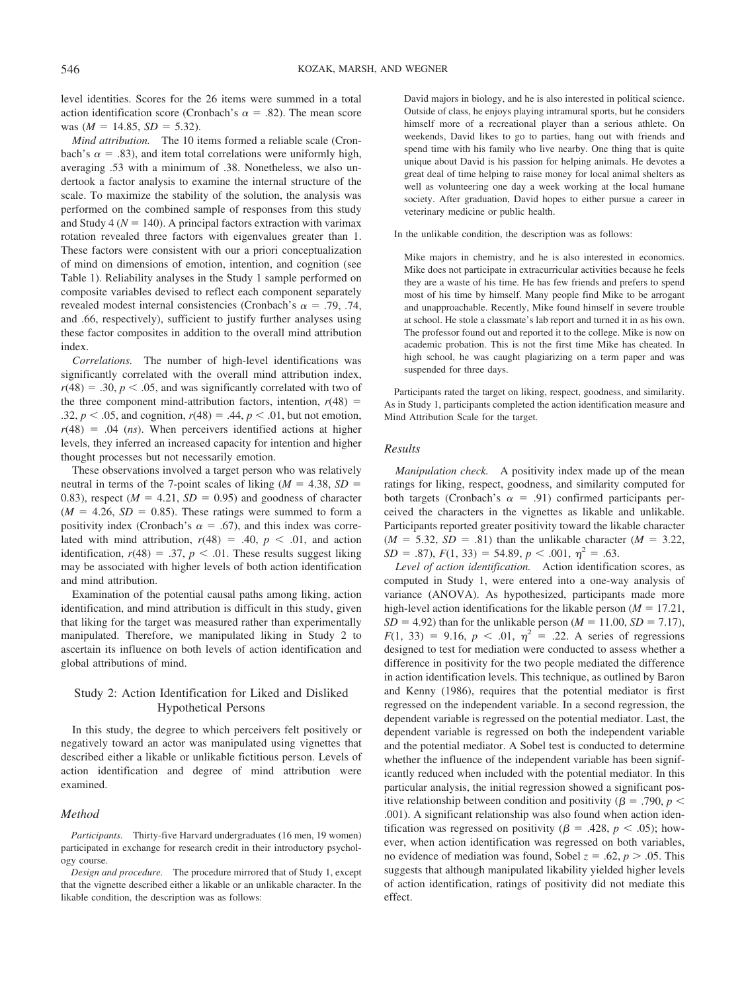level identities. Scores for the 26 items were summed in a total action identification score (Cronbach's  $\alpha = .82$ ). The mean score was  $(M = 14.85, SD = 5.32)$ .

*Mind attribution.* The 10 items formed a reliable scale (Cronbach's  $\alpha = .83$ ), and item total correlations were uniformly high, averaging .53 with a minimum of .38. Nonetheless, we also undertook a factor analysis to examine the internal structure of the scale. To maximize the stability of the solution, the analysis was performed on the combined sample of responses from this study and Study 4 ( $N = 140$ ). A principal factors extraction with varimax rotation revealed three factors with eigenvalues greater than 1. These factors were consistent with our a priori conceptualization of mind on dimensions of emotion, intention, and cognition (see Table 1). Reliability analyses in the Study 1 sample performed on composite variables devised to reflect each component separately revealed modest internal consistencies (Cronbach's  $\alpha = .79, .74,$ and .66, respectively), sufficient to justify further analyses using these factor composites in addition to the overall mind attribution index.

*Correlations.* The number of high-level identifications was significantly correlated with the overall mind attribution index,  $r(48) = .30, p < .05$ , and was significantly correlated with two of the three component mind-attribution factors, intention,  $r(48)$  = .32,  $p < .05$ , and cognition,  $r(48) = .44$ ,  $p < .01$ , but not emotion,  $r(48) = .04$  (*ns*). When perceivers identified actions at higher levels, they inferred an increased capacity for intention and higher thought processes but not necessarily emotion.

These observations involved a target person who was relatively neutral in terms of the 7-point scales of liking  $(M = 4.38, SD =$ 0.83), respect ( $M = 4.21$ ,  $SD = 0.95$ ) and goodness of character  $(M = 4.26, SD = 0.85)$ . These ratings were summed to form a positivity index (Cronbach's  $\alpha = .67$ ), and this index was correlated with mind attribution,  $r(48) = .40, p < .01$ , and action identification,  $r(48) = .37$ ,  $p < .01$ . These results suggest liking may be associated with higher levels of both action identification and mind attribution.

Examination of the potential causal paths among liking, action identification, and mind attribution is difficult in this study, given that liking for the target was measured rather than experimentally manipulated. Therefore, we manipulated liking in Study 2 to ascertain its influence on both levels of action identification and global attributions of mind.

# Study 2: Action Identification for Liked and Disliked Hypothetical Persons

In this study, the degree to which perceivers felt positively or negatively toward an actor was manipulated using vignettes that described either a likable or unlikable fictitious person. Levels of action identification and degree of mind attribution were examined.

#### *Method*

*Participants.* Thirty-five Harvard undergraduates (16 men, 19 women) participated in exchange for research credit in their introductory psychology course.

*Design and procedure.* The procedure mirrored that of Study 1, except that the vignette described either a likable or an unlikable character. In the likable condition, the description was as follows:

David majors in biology, and he is also interested in political science. Outside of class, he enjoys playing intramural sports, but he considers himself more of a recreational player than a serious athlete. On weekends, David likes to go to parties, hang out with friends and spend time with his family who live nearby. One thing that is quite unique about David is his passion for helping animals. He devotes a great deal of time helping to raise money for local animal shelters as well as volunteering one day a week working at the local humane society. After graduation, David hopes to either pursue a career in veterinary medicine or public health.

In the unlikable condition, the description was as follows:

Mike majors in chemistry, and he is also interested in economics. Mike does not participate in extracurricular activities because he feels they are a waste of his time. He has few friends and prefers to spend most of his time by himself. Many people find Mike to be arrogant and unapproachable. Recently, Mike found himself in severe trouble at school. He stole a classmate's lab report and turned it in as his own. The professor found out and reported it to the college. Mike is now on academic probation. This is not the first time Mike has cheated. In high school, he was caught plagiarizing on a term paper and was suspended for three days.

Participants rated the target on liking, respect, goodness, and similarity. As in Study 1, participants completed the action identification measure and Mind Attribution Scale for the target.

#### *Results*

*Manipulation check.* A positivity index made up of the mean ratings for liking, respect, goodness, and similarity computed for both targets (Cronbach's  $\alpha = .91$ ) confirmed participants perceived the characters in the vignettes as likable and unlikable. Participants reported greater positivity toward the likable character  $(M = 5.32, SD = .81)$  than the unlikable character  $(M = 3.22,$  $SD = .87$ ,  $F(1, 33) = 54.89$ ,  $p < .001$ ,  $\eta^2 = .63$ .

*Level of action identification.* Action identification scores, as computed in Study 1, were entered into a one-way analysis of variance (ANOVA). As hypothesized, participants made more high-level action identifications for the likable person  $(M = 17.21)$ ,  $SD = 4.92$ ) than for the unlikable person ( $M = 11.00$ ,  $SD = 7.17$ ),  $F(1, 33) = 9.16, p < .01, \eta^2 = .22$ . A series of regressions designed to test for mediation were conducted to assess whether a difference in positivity for the two people mediated the difference in action identification levels. This technique, as outlined by Baron and Kenny (1986), requires that the potential mediator is first regressed on the independent variable. In a second regression, the dependent variable is regressed on the potential mediator. Last, the dependent variable is regressed on both the independent variable and the potential mediator. A Sobel test is conducted to determine whether the influence of the independent variable has been significantly reduced when included with the potential mediator. In this particular analysis, the initial regression showed a significant positive relationship between condition and positivity ( $\beta = .790, p <$ .001). A significant relationship was also found when action identification was regressed on positivity ( $\beta$  = .428,  $p$  < .05); however, when action identification was regressed on both variables, no evidence of mediation was found, Sobel  $z = .62$ ,  $p > .05$ . This suggests that although manipulated likability yielded higher levels of action identification, ratings of positivity did not mediate this effect.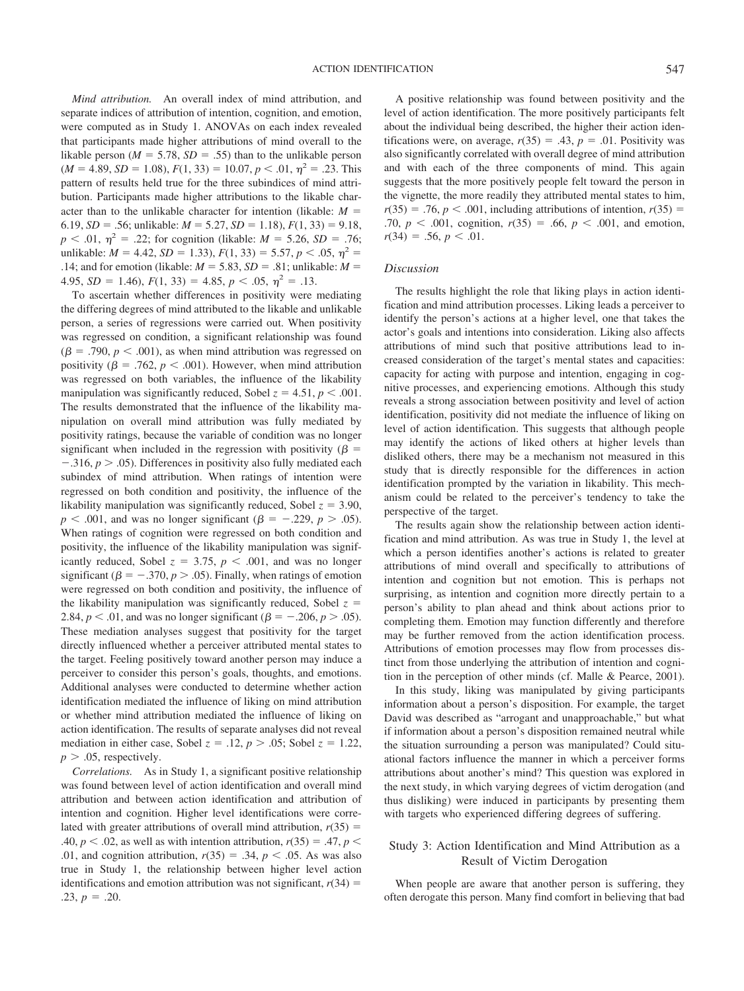*Mind attribution.* An overall index of mind attribution, and separate indices of attribution of intention, cognition, and emotion, were computed as in Study 1. ANOVAs on each index revealed that participants made higher attributions of mind overall to the likable person ( $M = 5.78$ ,  $SD = .55$ ) than to the unlikable person  $(M = 4.89, SD = 1.08), F(1, 33) = 10.07, p < .01, \eta^2 = .23$ . This pattern of results held true for the three subindices of mind attribution. Participants made higher attributions to the likable character than to the unlikable character for intention (likable:  $M =$ 6.19,  $SD = .56$ ; unlikable:  $M = 5.27$ ,  $SD = 1.18$ ),  $F(1, 33) = 9.18$ ,  $p < .01$ ,  $\eta^2 = .22$ ; for cognition (likable:  $M = 5.26$ , *SD* = .76; unlikable:  $M = 4.42$ ,  $SD = 1.33$ ,  $F(1, 33) = 5.57$ ,  $p < .05$ ,  $\eta^2 =$ .14; and for emotion (likable:  $M = 5.83$ ,  $SD = .81$ ; unlikable:  $M =$  $4.95, SD = 1.46$ ,  $F(1, 33) = 4.85, p < .05, \eta^2 = .13$ .

To ascertain whether differences in positivity were mediating the differing degrees of mind attributed to the likable and unlikable person, a series of regressions were carried out. When positivity was regressed on condition, a significant relationship was found  $(\beta = .790, p < .001)$ , as when mind attribution was regressed on positivity ( $\beta = .762$ ,  $p < .001$ ). However, when mind attribution was regressed on both variables, the influence of the likability manipulation was significantly reduced, Sobel  $z = 4.51$ ,  $p < .001$ . The results demonstrated that the influence of the likability manipulation on overall mind attribution was fully mediated by positivity ratings, because the variable of condition was no longer significant when included in the regression with positivity ( $\beta$  =  $-316$ ,  $p > .05$ ). Differences in positivity also fully mediated each subindex of mind attribution. When ratings of intention were regressed on both condition and positivity, the influence of the likability manipulation was significantly reduced, Sobel  $z = 3.90$ ,  $p < .001$ , and was no longer significant ( $\beta = -.229$ ,  $p > .05$ ). When ratings of cognition were regressed on both condition and positivity, the influence of the likability manipulation was significantly reduced, Sobel  $z = 3.75$ ,  $p < .001$ , and was no longer significant ( $\beta = -.370, p > .05$ ). Finally, when ratings of emotion were regressed on both condition and positivity, the influence of the likability manipulation was significantly reduced, Sobel  $z =$ 2.84,  $p < .01$ , and was no longer significant ( $\beta = -.206, p > .05$ ). These mediation analyses suggest that positivity for the target directly influenced whether a perceiver attributed mental states to the target. Feeling positively toward another person may induce a perceiver to consider this person's goals, thoughts, and emotions. Additional analyses were conducted to determine whether action identification mediated the influence of liking on mind attribution or whether mind attribution mediated the influence of liking on action identification. The results of separate analyses did not reveal mediation in either case, Sobel  $z = .12$ ,  $p > .05$ ; Sobel  $z = 1.22$ ,  $p > .05$ , respectively.

*Correlations.* As in Study 1, a significant positive relationship was found between level of action identification and overall mind attribution and between action identification and attribution of intention and cognition. Higher level identifications were correlated with greater attributions of overall mind attribution,  $r(35)$  = .40,  $p < .02$ , as well as with intention attribution,  $r(35) = .47$ ,  $p <$ .01, and cognition attribution,  $r(35) = .34$ ,  $p < .05$ . As was also true in Study 1, the relationship between higher level action identifications and emotion attribution was not significant,  $r(34)$  =  $.23, p = .20.$ 

A positive relationship was found between positivity and the level of action identification. The more positively participants felt about the individual being described, the higher their action identifications were, on average,  $r(35) = .43$ ,  $p = .01$ . Positivity was also significantly correlated with overall degree of mind attribution and with each of the three components of mind. This again suggests that the more positively people felt toward the person in the vignette, the more readily they attributed mental states to him,  $r(35) = .76$ ,  $p < .001$ , including attributions of intention,  $r(35) =$  $.70, p \lt .001$ , cognition,  $r(35) = .66, p \lt .001$ , and emotion,  $r(34) = .56, p < .01.$ 

#### *Discussion*

The results highlight the role that liking plays in action identification and mind attribution processes. Liking leads a perceiver to identify the person's actions at a higher level, one that takes the actor's goals and intentions into consideration. Liking also affects attributions of mind such that positive attributions lead to increased consideration of the target's mental states and capacities: capacity for acting with purpose and intention, engaging in cognitive processes, and experiencing emotions. Although this study reveals a strong association between positivity and level of action identification, positivity did not mediate the influence of liking on level of action identification. This suggests that although people may identify the actions of liked others at higher levels than disliked others, there may be a mechanism not measured in this study that is directly responsible for the differences in action identification prompted by the variation in likability. This mechanism could be related to the perceiver's tendency to take the perspective of the target.

The results again show the relationship between action identification and mind attribution. As was true in Study 1, the level at which a person identifies another's actions is related to greater attributions of mind overall and specifically to attributions of intention and cognition but not emotion. This is perhaps not surprising, as intention and cognition more directly pertain to a person's ability to plan ahead and think about actions prior to completing them. Emotion may function differently and therefore may be further removed from the action identification process. Attributions of emotion processes may flow from processes distinct from those underlying the attribution of intention and cognition in the perception of other minds (cf. Malle & Pearce, 2001).

In this study, liking was manipulated by giving participants information about a person's disposition. For example, the target David was described as "arrogant and unapproachable," but what if information about a person's disposition remained neutral while the situation surrounding a person was manipulated? Could situational factors influence the manner in which a perceiver forms attributions about another's mind? This question was explored in the next study, in which varying degrees of victim derogation (and thus disliking) were induced in participants by presenting them with targets who experienced differing degrees of suffering.

# Study 3: Action Identification and Mind Attribution as a Result of Victim Derogation

When people are aware that another person is suffering, they often derogate this person. Many find comfort in believing that bad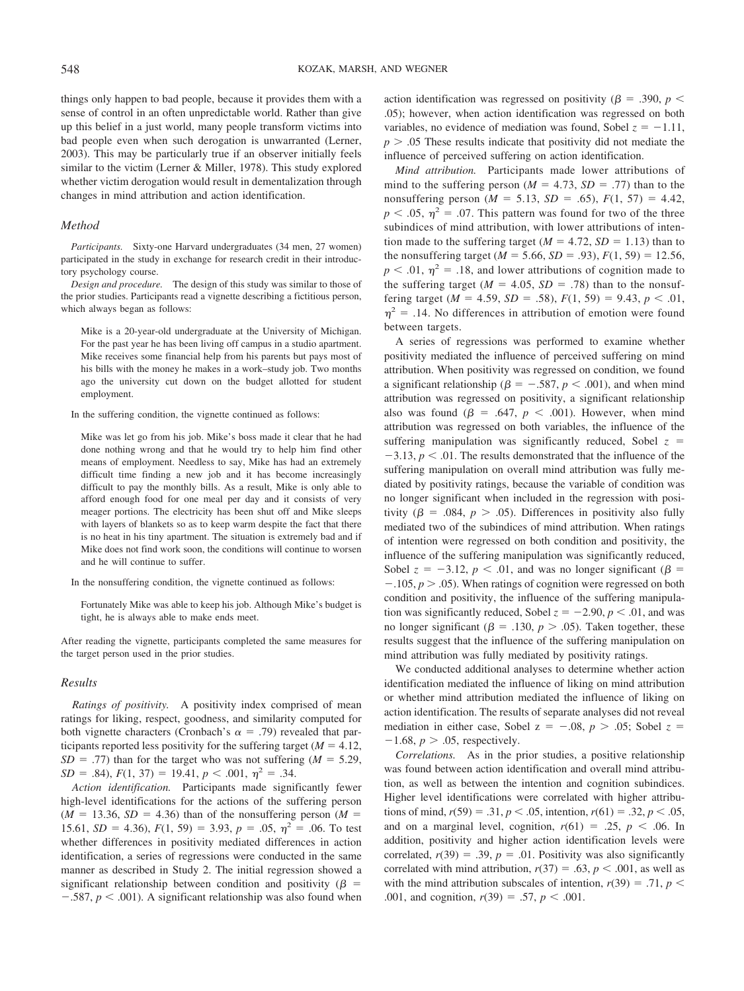things only happen to bad people, because it provides them with a sense of control in an often unpredictable world. Rather than give up this belief in a just world, many people transform victims into bad people even when such derogation is unwarranted (Lerner, 2003). This may be particularly true if an observer initially feels similar to the victim (Lerner & Miller, 1978). This study explored whether victim derogation would result in dementalization through changes in mind attribution and action identification.

#### *Method*

*Participants.* Sixty-one Harvard undergraduates (34 men, 27 women) participated in the study in exchange for research credit in their introductory psychology course.

*Design and procedure.* The design of this study was similar to those of the prior studies. Participants read a vignette describing a fictitious person, which always began as follows:

Mike is a 20-year-old undergraduate at the University of Michigan. For the past year he has been living off campus in a studio apartment. Mike receives some financial help from his parents but pays most of his bills with the money he makes in a work–study job. Two months ago the university cut down on the budget allotted for student employment.

In the suffering condition, the vignette continued as follows:

Mike was let go from his job. Mike's boss made it clear that he had done nothing wrong and that he would try to help him find other means of employment. Needless to say, Mike has had an extremely difficult time finding a new job and it has become increasingly difficult to pay the monthly bills. As a result, Mike is only able to afford enough food for one meal per day and it consists of very meager portions. The electricity has been shut off and Mike sleeps with layers of blankets so as to keep warm despite the fact that there is no heat in his tiny apartment. The situation is extremely bad and if Mike does not find work soon, the conditions will continue to worsen and he will continue to suffer.

In the nonsuffering condition, the vignette continued as follows:

Fortunately Mike was able to keep his job. Although Mike's budget is tight, he is always able to make ends meet.

After reading the vignette, participants completed the same measures for the target person used in the prior studies.

#### *Results*

*Ratings of positivity.* A positivity index comprised of mean ratings for liking, respect, goodness, and similarity computed for both vignette characters (Cronbach's  $\alpha = .79$ ) revealed that participants reported less positivity for the suffering target ( $M = 4.12$ ,  $SD = .77$ ) than for the target who was not suffering ( $M = 5.29$ ,  $SD = .84$ ,  $F(1, 37) = 19.41$ ,  $p < .001$ ,  $\eta^2 = .34$ .

*Action identification.* Participants made significantly fewer high-level identifications for the actions of the suffering person  $(M = 13.36, SD = 4.36)$  than of the nonsuffering person  $(M =$ 15.61, *SD* = 4.36),  $F(1, 59) = 3.93$ ,  $p = .05$ ,  $\eta^2 = .06$ . To test whether differences in positivity mediated differences in action identification, a series of regressions were conducted in the same manner as described in Study 2. The initial regression showed a significant relationship between condition and positivity ( $\beta$  =  $-0.587, p < 0.001$ ). A significant relationship was also found when

action identification was regressed on positivity ( $\beta = .390, p <$ .05); however, when action identification was regressed on both variables, no evidence of mediation was found, Sobel  $z = -1.11$ ,  $p > .05$  These results indicate that positivity did not mediate the influence of perceived suffering on action identification.

*Mind attribution.* Participants made lower attributions of mind to the suffering person ( $M = 4.73$ ,  $SD = .77$ ) than to the nonsuffering person ( $M = 5.13$ ,  $SD = .65$ ),  $F(1, 57) = 4.42$ ,  $p < .05$ ,  $\eta^2 = .07$ . This pattern was found for two of the three subindices of mind attribution, with lower attributions of intention made to the suffering target  $(M = 4.72, SD = 1.13)$  than to the nonsuffering target ( $M = 5.66$ ,  $SD = .93$ ),  $F(1, 59) = 12.56$ ,  $p < .01$ ,  $\eta^2 = .18$ , and lower attributions of cognition made to the suffering target ( $M = 4.05$ ,  $SD = .78$ ) than to the nonsuffering target ( $M = 4.59$ ,  $SD = .58$ ),  $F(1, 59) = 9.43$ ,  $p < .01$ ,  $\eta^2$  = .14. No differences in attribution of emotion were found between targets.

A series of regressions was performed to examine whether positivity mediated the influence of perceived suffering on mind attribution. When positivity was regressed on condition, we found a significant relationship ( $\beta = -.587, p < .001$ ), and when mind attribution was regressed on positivity, a significant relationship also was found  $(\beta = .647, p < .001)$ . However, when mind attribution was regressed on both variables, the influence of the suffering manipulation was significantly reduced, Sobel  $z =$  $-3.13$ ,  $p < .01$ . The results demonstrated that the influence of the suffering manipulation on overall mind attribution was fully mediated by positivity ratings, because the variable of condition was no longer significant when included in the regression with positivity ( $\beta = .084$ ,  $p > .05$ ). Differences in positivity also fully mediated two of the subindices of mind attribution. When ratings of intention were regressed on both condition and positivity, the influence of the suffering manipulation was significantly reduced, Sobel  $z = -3.12$ ,  $p < .01$ , and was no longer significant ( $\beta$  =  $-105$ ,  $p > 0.05$ ). When ratings of cognition were regressed on both condition and positivity, the influence of the suffering manipulation was significantly reduced, Sobel  $z = -2.90, p < .01$ , and was no longer significant ( $\beta = .130, p > .05$ ). Taken together, these results suggest that the influence of the suffering manipulation on mind attribution was fully mediated by positivity ratings.

We conducted additional analyses to determine whether action identification mediated the influence of liking on mind attribution or whether mind attribution mediated the influence of liking on action identification. The results of separate analyses did not reveal mediation in either case, Sobel  $z = -.08$ ,  $p > .05$ ; Sobel  $z =$  $-1.68$ ,  $p > .05$ , respectively.

*Correlations.* As in the prior studies, a positive relationship was found between action identification and overall mind attribution, as well as between the intention and cognition subindices. Higher level identifications were correlated with higher attributions of mind,  $r(59) = .31, p < .05$ , intention,  $r(61) = .32, p < .05$ , and on a marginal level, cognition,  $r(61) = .25$ ,  $p < .06$ . In addition, positivity and higher action identification levels were correlated,  $r(39) = .39$ ,  $p = .01$ . Positivity was also significantly correlated with mind attribution,  $r(37) = .63$ ,  $p < .001$ , as well as with the mind attribution subscales of intention,  $r(39) = .71$ ,  $p <$ .001, and cognition,  $r(39) = .57$ ,  $p < .001$ .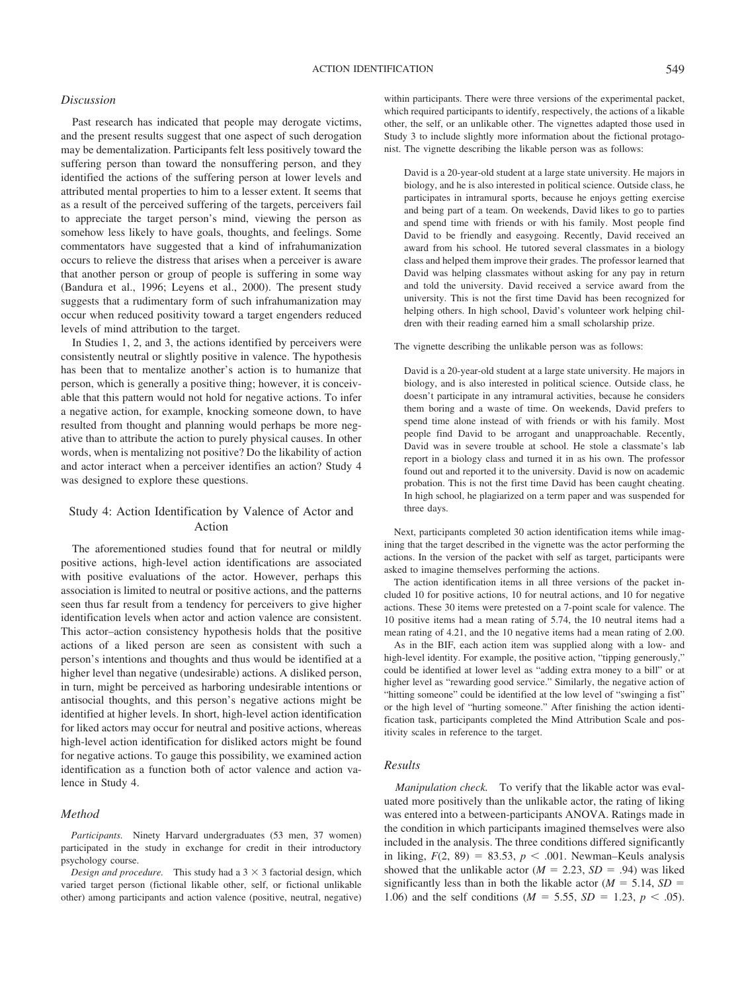## *Discussion*

Past research has indicated that people may derogate victims, and the present results suggest that one aspect of such derogation may be dementalization. Participants felt less positively toward the suffering person than toward the nonsuffering person, and they identified the actions of the suffering person at lower levels and attributed mental properties to him to a lesser extent. It seems that as a result of the perceived suffering of the targets, perceivers fail to appreciate the target person's mind, viewing the person as somehow less likely to have goals, thoughts, and feelings. Some commentators have suggested that a kind of infrahumanization occurs to relieve the distress that arises when a perceiver is aware that another person or group of people is suffering in some way (Bandura et al., 1996; Leyens et al., 2000). The present study suggests that a rudimentary form of such infrahumanization may occur when reduced positivity toward a target engenders reduced levels of mind attribution to the target.

In Studies 1, 2, and 3, the actions identified by perceivers were consistently neutral or slightly positive in valence. The hypothesis has been that to mentalize another's action is to humanize that person, which is generally a positive thing; however, it is conceivable that this pattern would not hold for negative actions. To infer a negative action, for example, knocking someone down, to have resulted from thought and planning would perhaps be more negative than to attribute the action to purely physical causes. In other words, when is mentalizing not positive? Do the likability of action and actor interact when a perceiver identifies an action? Study 4 was designed to explore these questions.

# Study 4: Action Identification by Valence of Actor and Action

The aforementioned studies found that for neutral or mildly positive actions, high-level action identifications are associated with positive evaluations of the actor. However, perhaps this association is limited to neutral or positive actions, and the patterns seen thus far result from a tendency for perceivers to give higher identification levels when actor and action valence are consistent. This actor–action consistency hypothesis holds that the positive actions of a liked person are seen as consistent with such a person's intentions and thoughts and thus would be identified at a higher level than negative (undesirable) actions. A disliked person, in turn, might be perceived as harboring undesirable intentions or antisocial thoughts, and this person's negative actions might be identified at higher levels. In short, high-level action identification for liked actors may occur for neutral and positive actions, whereas high-level action identification for disliked actors might be found for negative actions. To gauge this possibility, we examined action identification as a function both of actor valence and action valence in Study 4.

#### *Method*

*Participants.* Ninety Harvard undergraduates (53 men, 37 women) participated in the study in exchange for credit in their introductory psychology course.

*Design and procedure.* This study had a  $3 \times 3$  factorial design, which varied target person (fictional likable other, self, or fictional unlikable other) among participants and action valence (positive, neutral, negative) within participants. There were three versions of the experimental packet, which required participants to identify, respectively, the actions of a likable other, the self, or an unlikable other. The vignettes adapted those used in Study 3 to include slightly more information about the fictional protagonist. The vignette describing the likable person was as follows:

David is a 20-year-old student at a large state university. He majors in biology, and he is also interested in political science. Outside class, he participates in intramural sports, because he enjoys getting exercise and being part of a team. On weekends, David likes to go to parties and spend time with friends or with his family. Most people find David to be friendly and easygoing. Recently, David received an award from his school. He tutored several classmates in a biology class and helped them improve their grades. The professor learned that David was helping classmates without asking for any pay in return and told the university. David received a service award from the university. This is not the first time David has been recognized for helping others. In high school, David's volunteer work helping children with their reading earned him a small scholarship prize.

The vignette describing the unlikable person was as follows:

David is a 20-year-old student at a large state university. He majors in biology, and is also interested in political science. Outside class, he doesn't participate in any intramural activities, because he considers them boring and a waste of time. On weekends, David prefers to spend time alone instead of with friends or with his family. Most people find David to be arrogant and unapproachable. Recently, David was in severe trouble at school. He stole a classmate's lab report in a biology class and turned it in as his own. The professor found out and reported it to the university. David is now on academic probation. This is not the first time David has been caught cheating. In high school, he plagiarized on a term paper and was suspended for three days.

Next, participants completed 30 action identification items while imagining that the target described in the vignette was the actor performing the actions. In the version of the packet with self as target, participants were asked to imagine themselves performing the actions.

The action identification items in all three versions of the packet included 10 for positive actions, 10 for neutral actions, and 10 for negative actions. These 30 items were pretested on a 7-point scale for valence. The 10 positive items had a mean rating of 5.74, the 10 neutral items had a mean rating of 4.21, and the 10 negative items had a mean rating of 2.00.

As in the BIF, each action item was supplied along with a low- and high-level identity. For example, the positive action, "tipping generously," could be identified at lower level as "adding extra money to a bill" or at higher level as "rewarding good service." Similarly, the negative action of "hitting someone" could be identified at the low level of "swinging a fist" or the high level of "hurting someone." After finishing the action identification task, participants completed the Mind Attribution Scale and positivity scales in reference to the target.

#### *Results*

*Manipulation check.* To verify that the likable actor was evaluated more positively than the unlikable actor, the rating of liking was entered into a between-participants ANOVA. Ratings made in the condition in which participants imagined themselves were also included in the analysis. The three conditions differed significantly in liking,  $F(2, 89) = 83.53$ ,  $p < .001$ . Newman–Keuls analysis showed that the unlikable actor ( $M = 2.23$ ,  $SD = .94$ ) was liked significantly less than in both the likable actor ( $M = 5.14$ ,  $SD =$ 1.06) and the self conditions ( $M = 5.55$ ,  $SD = 1.23$ ,  $p < .05$ ).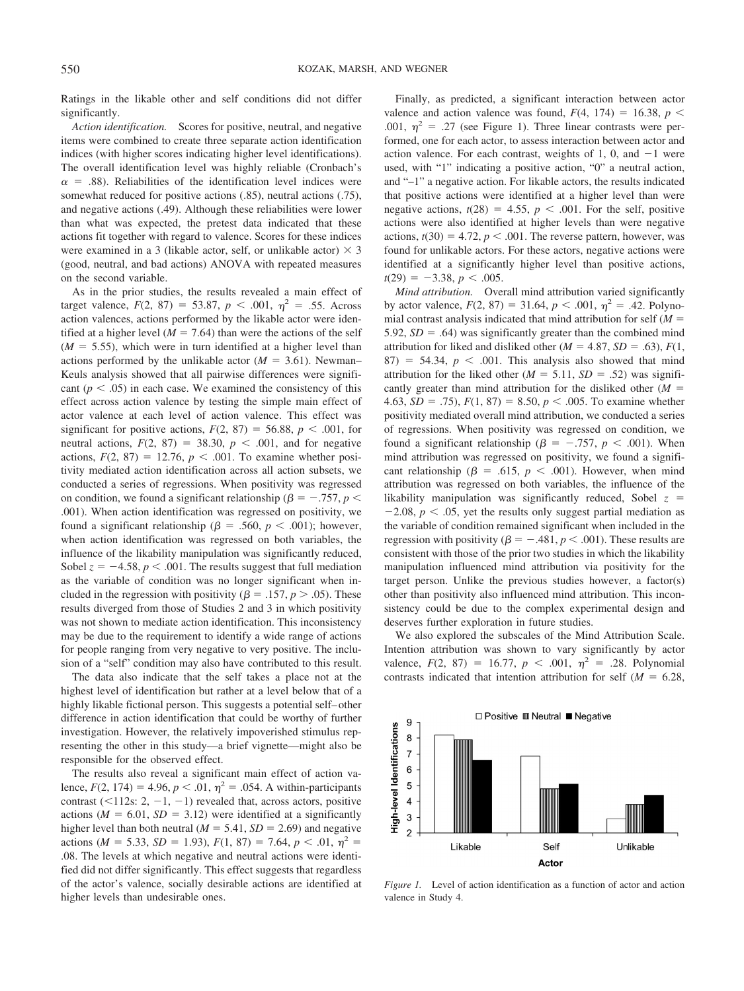Ratings in the likable other and self conditions did not differ significantly.

*Action identification.* Scores for positive, neutral, and negative items were combined to create three separate action identification indices (with higher scores indicating higher level identifications). The overall identification level was highly reliable (Cronbach's  $\alpha$  = .88). Reliabilities of the identification level indices were somewhat reduced for positive actions (.85), neutral actions (.75), and negative actions (.49). Although these reliabilities were lower than what was expected, the pretest data indicated that these actions fit together with regard to valence. Scores for these indices were examined in a 3 (likable actor, self, or unlikable actor)  $\times$  3 (good, neutral, and bad actions) ANOVA with repeated measures on the second variable.

As in the prior studies, the results revealed a main effect of target valence,  $F(2, 87) = 53.87, p < .001, \eta^2 = .55$ . Across action valences, actions performed by the likable actor were identified at a higher level ( $M = 7.64$ ) than were the actions of the self  $(M = 5.55)$ , which were in turn identified at a higher level than actions performed by the unlikable actor  $(M = 3.61)$ . Newman– Keuls analysis showed that all pairwise differences were significant  $(p < .05)$  in each case. We examined the consistency of this effect across action valence by testing the simple main effect of actor valence at each level of action valence. This effect was significant for positive actions,  $F(2, 87) = 56.88$ ,  $p < .001$ , for neutral actions,  $F(2, 87) = 38.30, p < .001$ , and for negative actions,  $F(2, 87) = 12.76$ ,  $p < .001$ . To examine whether positivity mediated action identification across all action subsets, we conducted a series of regressions. When positivity was regressed on condition, we found a significant relationship ( $\beta = -.757$ ,  $p <$ .001). When action identification was regressed on positivity, we found a significant relationship ( $\beta = .560, p < .001$ ); however, when action identification was regressed on both variables, the influence of the likability manipulation was significantly reduced, Sobel  $z = -4.58$ ,  $p < .001$ . The results suggest that full mediation as the variable of condition was no longer significant when included in the regression with positivity ( $\beta = .157$ ,  $p > .05$ ). These results diverged from those of Studies 2 and 3 in which positivity was not shown to mediate action identification. This inconsistency may be due to the requirement to identify a wide range of actions for people ranging from very negative to very positive. The inclusion of a "self" condition may also have contributed to this result.

The data also indicate that the self takes a place not at the highest level of identification but rather at a level below that of a highly likable fictional person. This suggests a potential self– other difference in action identification that could be worthy of further investigation. However, the relatively impoverished stimulus representing the other in this study—a brief vignette—might also be responsible for the observed effect.

The results also reveal a significant main effect of action valence,  $F(2, 174) = 4.96$ ,  $p < .01$ ,  $\eta^2 = .054$ . A within-participants contrast ( $112s: 2, -1, -1$ ) revealed that, across actors, positive actions ( $M = 6.01$ ,  $SD = 3.12$ ) were identified at a significantly higher level than both neutral  $(M = 5.41, SD = 2.69)$  and negative actions ( $M = 5.33$ ,  $SD = 1.93$ ),  $F(1, 87) = 7.64$ ,  $p < .01$ ,  $\eta^2 =$ .08. The levels at which negative and neutral actions were identified did not differ significantly. This effect suggests that regardless of the actor's valence, socially desirable actions are identified at higher levels than undesirable ones.

Finally, as predicted, a significant interaction between actor valence and action valence was found,  $F(4, 174) = 16.38$ ,  $p <$ .001,  $\eta^2$  = .27 (see Figure 1). Three linear contrasts were performed, one for each actor, to assess interaction between actor and action valence. For each contrast, weights of 1, 0, and  $-1$  were used, with "1" indicating a positive action, "0" a neutral action, and "–1" a negative action. For likable actors, the results indicated that positive actions were identified at a higher level than were negative actions,  $t(28) = 4.55$ ,  $p < .001$ . For the self, positive actions were also identified at higher levels than were negative actions,  $t(30) = 4.72$ ,  $p < .001$ . The reverse pattern, however, was found for unlikable actors. For these actors, negative actions were identified at a significantly higher level than positive actions,  $t(29) = -3.38, p < .005.$ 

*Mind attribution.* Overall mind attribution varied significantly by actor valence,  $F(2, 87) = 31.64$ ,  $p < .001$ ,  $\eta^2 = .42$ . Polynomial contrast analysis indicated that mind attribution for self  $(M =$ 5.92,  $SD = .64$ ) was significantly greater than the combined mind attribution for liked and disliked other  $(M = 4.87, SD = .63)$ ,  $F(1,$  $87) = 54.34$ ,  $p < .001$ . This analysis also showed that mind attribution for the liked other ( $M = 5.11$ ,  $SD = .52$ ) was significantly greater than mind attribution for the disliked other  $(M =$ 4.63,  $SD = .75$ ,  $F(1, 87) = 8.50$ ,  $p < .005$ . To examine whether positivity mediated overall mind attribution, we conducted a series of regressions. When positivity was regressed on condition, we found a significant relationship ( $\beta = -.757, p < .001$ ). When mind attribution was regressed on positivity, we found a significant relationship ( $\beta = .615$ ,  $p < .001$ ). However, when mind attribution was regressed on both variables, the influence of the likability manipulation was significantly reduced, Sobel  $z =$  $-2.08$ ,  $p < .05$ , yet the results only suggest partial mediation as the variable of condition remained significant when included in the regression with positivity ( $\beta = -.481, p < .001$ ). These results are consistent with those of the prior two studies in which the likability manipulation influenced mind attribution via positivity for the target person. Unlike the previous studies however, a factor(s) other than positivity also influenced mind attribution. This inconsistency could be due to the complex experimental design and deserves further exploration in future studies.

We also explored the subscales of the Mind Attribution Scale. Intention attribution was shown to vary significantly by actor valence,  $F(2, 87) = 16.77$ ,  $p < .001$ ,  $\eta^2 = .28$ . Polynomial contrasts indicated that intention attribution for self  $(M = 6.28,$ 



*Figure 1.* Level of action identification as a function of actor and action valence in Study 4.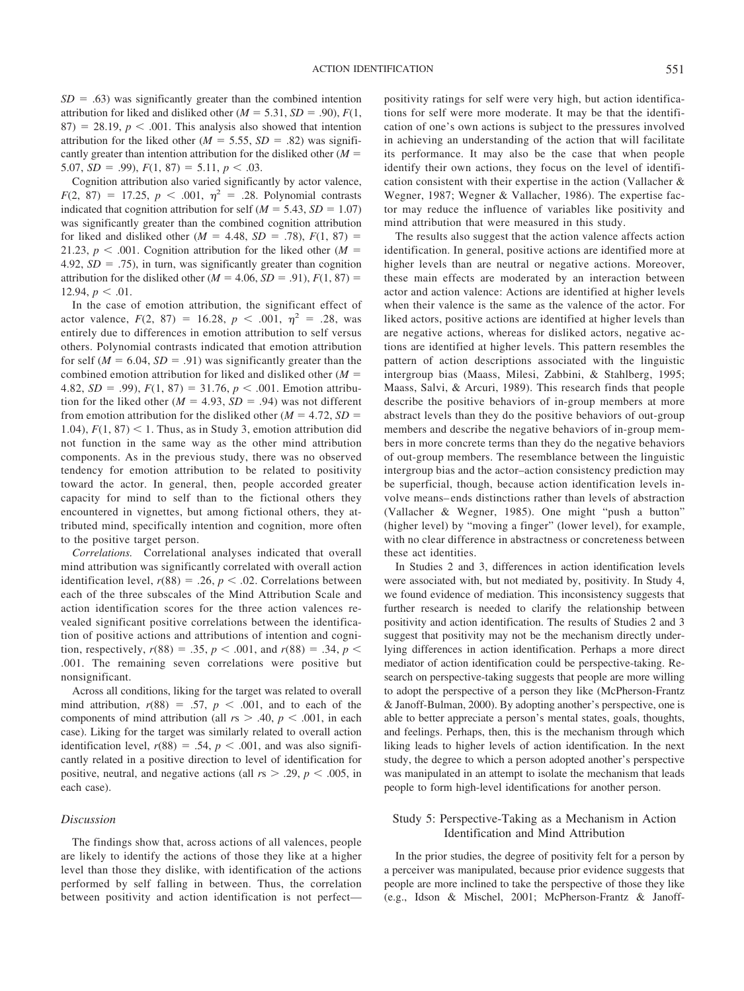$SD = .63$ ) was significantly greater than the combined intention attribution for liked and disliked other  $(M = 5.31, SD = .90)$ ,  $F(1,$  $87) = 28.19, p < .001$ . This analysis also showed that intention attribution for the liked other ( $M = 5.55$ ,  $SD = .82$ ) was significantly greater than intention attribution for the disliked other  $(M =$ 5.07,  $SD = .99$ ,  $F(1, 87) = 5.11$ ,  $p < .03$ .

Cognition attribution also varied significantly by actor valence,  $F(2, 87) = 17.25, p < .001, \eta^2 = .28$ . Polynomial contrasts indicated that cognition attribution for self ( $M = 5.43$ ,  $SD = 1.07$ ) was significantly greater than the combined cognition attribution for liked and disliked other  $(M = 4.48, SD = .78)$ ,  $F(1, 87) =$ 21.23,  $p < .001$ . Cognition attribution for the liked other ( $M =$ 4.92,  $SD = .75$ ), in turn, was significantly greater than cognition attribution for the disliked other  $(M = 4.06, SD = .91)$ ,  $F(1, 87) =$ 12.94,  $p < .01$ .

In the case of emotion attribution, the significant effect of actor valence,  $F(2, 87) = 16.28, p < .001, \eta^2 = .28$ , was entirely due to differences in emotion attribution to self versus others. Polynomial contrasts indicated that emotion attribution for self  $(M = 6.04, SD = .91)$  was significantly greater than the combined emotion attribution for liked and disliked other  $(M =$ 4.82,  $SD = .99$ ),  $F(1, 87) = 31.76$ ,  $p < .001$ . Emotion attribution for the liked other  $(M = 4.93, SD = .94)$  was not different from emotion attribution for the disliked other  $(M = 4.72, SD =$ 1.04),  $F(1, 87) < 1$ . Thus, as in Study 3, emotion attribution did not function in the same way as the other mind attribution components. As in the previous study, there was no observed tendency for emotion attribution to be related to positivity toward the actor. In general, then, people accorded greater capacity for mind to self than to the fictional others they encountered in vignettes, but among fictional others, they attributed mind, specifically intention and cognition, more often to the positive target person.

*Correlations.* Correlational analyses indicated that overall mind attribution was significantly correlated with overall action identification level,  $r(88) = .26$ ,  $p < .02$ . Correlations between each of the three subscales of the Mind Attribution Scale and action identification scores for the three action valences revealed significant positive correlations between the identification of positive actions and attributions of intention and cognition, respectively,  $r(88) = .35$ ,  $p < .001$ , and  $r(88) = .34$ ,  $p <$ .001. The remaining seven correlations were positive but nonsignificant.

Across all conditions, liking for the target was related to overall mind attribution,  $r(88) = .57$ ,  $p < .001$ , and to each of the components of mind attribution (all  $rs > .40$ ,  $p < .001$ , in each case). Liking for the target was similarly related to overall action identification level,  $r(88) = .54$ ,  $p < .001$ , and was also significantly related in a positive direction to level of identification for positive, neutral, and negative actions (all  $rs > .29$ ,  $p < .005$ , in each case).

## *Discussion*

The findings show that, across actions of all valences, people are likely to identify the actions of those they like at a higher level than those they dislike, with identification of the actions performed by self falling in between. Thus, the correlation between positivity and action identification is not perfectpositivity ratings for self were very high, but action identifications for self were more moderate. It may be that the identification of one's own actions is subject to the pressures involved in achieving an understanding of the action that will facilitate its performance. It may also be the case that when people identify their own actions, they focus on the level of identification consistent with their expertise in the action (Vallacher & Wegner, 1987; Wegner & Vallacher, 1986). The expertise factor may reduce the influence of variables like positivity and mind attribution that were measured in this study.

The results also suggest that the action valence affects action identification. In general, positive actions are identified more at higher levels than are neutral or negative actions. Moreover, these main effects are moderated by an interaction between actor and action valence: Actions are identified at higher levels when their valence is the same as the valence of the actor. For liked actors, positive actions are identified at higher levels than are negative actions, whereas for disliked actors, negative actions are identified at higher levels. This pattern resembles the pattern of action descriptions associated with the linguistic intergroup bias (Maass, Milesi, Zabbini, & Stahlberg, 1995; Maass, Salvi, & Arcuri, 1989). This research finds that people describe the positive behaviors of in-group members at more abstract levels than they do the positive behaviors of out-group members and describe the negative behaviors of in-group members in more concrete terms than they do the negative behaviors of out-group members. The resemblance between the linguistic intergroup bias and the actor–action consistency prediction may be superficial, though, because action identification levels involve means– ends distinctions rather than levels of abstraction (Vallacher & Wegner, 1985). One might "push a button" (higher level) by "moving a finger" (lower level), for example, with no clear difference in abstractness or concreteness between these act identities.

In Studies 2 and 3, differences in action identification levels were associated with, but not mediated by, positivity. In Study 4, we found evidence of mediation. This inconsistency suggests that further research is needed to clarify the relationship between positivity and action identification. The results of Studies 2 and 3 suggest that positivity may not be the mechanism directly underlying differences in action identification. Perhaps a more direct mediator of action identification could be perspective-taking. Research on perspective-taking suggests that people are more willing to adopt the perspective of a person they like (McPherson-Frantz & Janoff-Bulman, 2000). By adopting another's perspective, one is able to better appreciate a person's mental states, goals, thoughts, and feelings. Perhaps, then, this is the mechanism through which liking leads to higher levels of action identification. In the next study, the degree to which a person adopted another's perspective was manipulated in an attempt to isolate the mechanism that leads people to form high-level identifications for another person.

## Study 5: Perspective-Taking as a Mechanism in Action Identification and Mind Attribution

In the prior studies, the degree of positivity felt for a person by a perceiver was manipulated, because prior evidence suggests that people are more inclined to take the perspective of those they like (e.g., Idson & Mischel, 2001; McPherson-Frantz & Janoff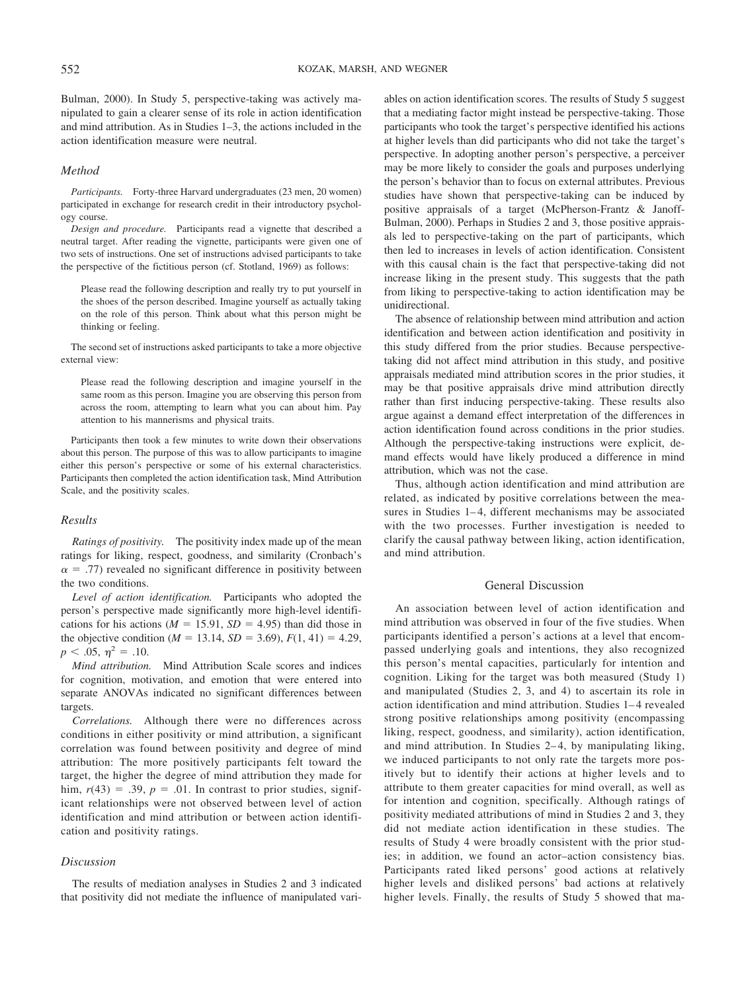Bulman, 2000). In Study 5, perspective-taking was actively manipulated to gain a clearer sense of its role in action identification and mind attribution. As in Studies 1–3, the actions included in the action identification measure were neutral.

#### *Method*

*Participants.* Forty-three Harvard undergraduates (23 men, 20 women) participated in exchange for research credit in their introductory psychology course.

*Design and procedure.* Participants read a vignette that described a neutral target. After reading the vignette, participants were given one of two sets of instructions. One set of instructions advised participants to take the perspective of the fictitious person (cf. Stotland, 1969) as follows:

Please read the following description and really try to put yourself in the shoes of the person described. Imagine yourself as actually taking on the role of this person. Think about what this person might be thinking or feeling.

The second set of instructions asked participants to take a more objective external view:

Please read the following description and imagine yourself in the same room as this person. Imagine you are observing this person from across the room, attempting to learn what you can about him. Pay attention to his mannerisms and physical traits.

Participants then took a few minutes to write down their observations about this person. The purpose of this was to allow participants to imagine either this person's perspective or some of his external characteristics. Participants then completed the action identification task, Mind Attribution Scale, and the positivity scales.

#### *Results*

*Ratings of positivity.* The positivity index made up of the mean ratings for liking, respect, goodness, and similarity (Cronbach's  $\alpha$  = .77) revealed no significant difference in positivity between the two conditions.

*Level of action identification.* Participants who adopted the person's perspective made significantly more high-level identifications for his actions ( $M = 15.91$ ,  $SD = 4.95$ ) than did those in the objective condition ( $M = 13.14$ ,  $SD = 3.69$ ),  $F(1, 41) = 4.29$ ,  $p < .05, \eta^2 = .10.$ 

*Mind attribution.* Mind Attribution Scale scores and indices for cognition, motivation, and emotion that were entered into separate ANOVAs indicated no significant differences between targets.

*Correlations.* Although there were no differences across conditions in either positivity or mind attribution, a significant correlation was found between positivity and degree of mind attribution: The more positively participants felt toward the target, the higher the degree of mind attribution they made for him,  $r(43) = .39$ ,  $p = .01$ . In contrast to prior studies, significant relationships were not observed between level of action identification and mind attribution or between action identification and positivity ratings.

#### *Discussion*

The results of mediation analyses in Studies 2 and 3 indicated that positivity did not mediate the influence of manipulated variables on action identification scores. The results of Study 5 suggest that a mediating factor might instead be perspective-taking. Those participants who took the target's perspective identified his actions at higher levels than did participants who did not take the target's perspective. In adopting another person's perspective, a perceiver may be more likely to consider the goals and purposes underlying the person's behavior than to focus on external attributes. Previous studies have shown that perspective-taking can be induced by positive appraisals of a target (McPherson-Frantz & Janoff-Bulman, 2000). Perhaps in Studies 2 and 3, those positive appraisals led to perspective-taking on the part of participants, which then led to increases in levels of action identification. Consistent with this causal chain is the fact that perspective-taking did not increase liking in the present study. This suggests that the path from liking to perspective-taking to action identification may be unidirectional.

The absence of relationship between mind attribution and action identification and between action identification and positivity in this study differed from the prior studies. Because perspectivetaking did not affect mind attribution in this study, and positive appraisals mediated mind attribution scores in the prior studies, it may be that positive appraisals drive mind attribution directly rather than first inducing perspective-taking. These results also argue against a demand effect interpretation of the differences in action identification found across conditions in the prior studies. Although the perspective-taking instructions were explicit, demand effects would have likely produced a difference in mind attribution, which was not the case.

Thus, although action identification and mind attribution are related, as indicated by positive correlations between the measures in Studies 1–4, different mechanisms may be associated with the two processes. Further investigation is needed to clarify the causal pathway between liking, action identification, and mind attribution.

## General Discussion

An association between level of action identification and mind attribution was observed in four of the five studies. When participants identified a person's actions at a level that encompassed underlying goals and intentions, they also recognized this person's mental capacities, particularly for intention and cognition. Liking for the target was both measured (Study 1) and manipulated (Studies 2, 3, and 4) to ascertain its role in action identification and mind attribution. Studies 1– 4 revealed strong positive relationships among positivity (encompassing liking, respect, goodness, and similarity), action identification, and mind attribution. In Studies  $2-4$ , by manipulating liking, we induced participants to not only rate the targets more positively but to identify their actions at higher levels and to attribute to them greater capacities for mind overall, as well as for intention and cognition, specifically. Although ratings of positivity mediated attributions of mind in Studies 2 and 3, they did not mediate action identification in these studies. The results of Study 4 were broadly consistent with the prior studies; in addition, we found an actor–action consistency bias. Participants rated liked persons' good actions at relatively higher levels and disliked persons' bad actions at relatively higher levels. Finally, the results of Study 5 showed that ma-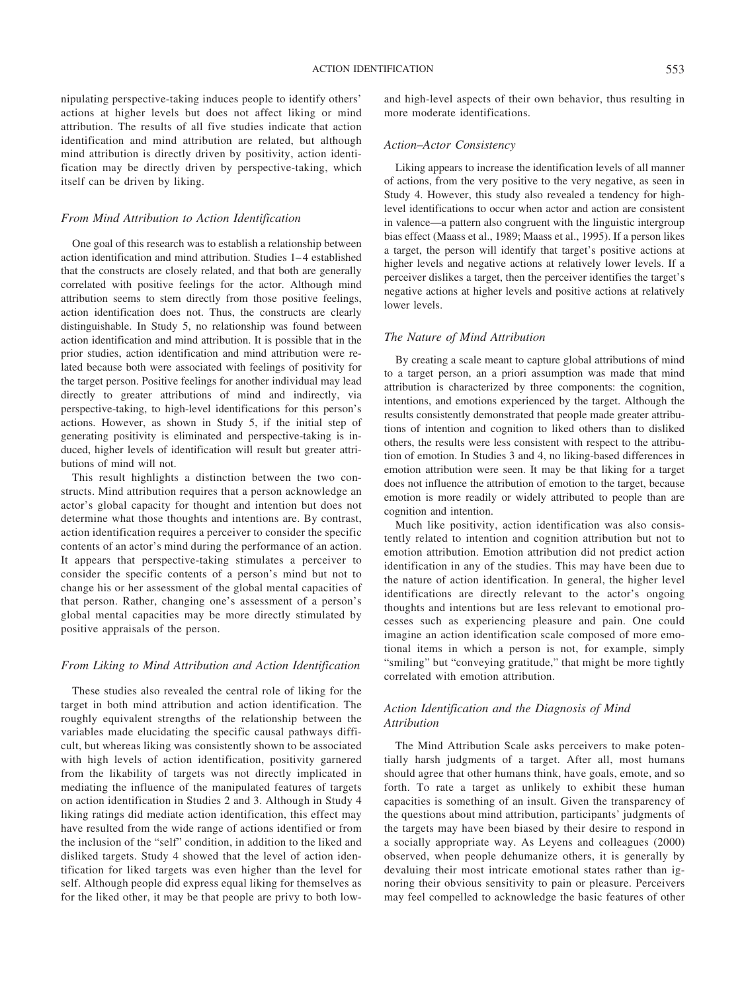nipulating perspective-taking induces people to identify others' actions at higher levels but does not affect liking or mind attribution. The results of all five studies indicate that action identification and mind attribution are related, but although mind attribution is directly driven by positivity, action identification may be directly driven by perspective-taking, which itself can be driven by liking.

#### *From Mind Attribution to Action Identification*

One goal of this research was to establish a relationship between action identification and mind attribution. Studies 1– 4 established that the constructs are closely related, and that both are generally correlated with positive feelings for the actor. Although mind attribution seems to stem directly from those positive feelings, action identification does not. Thus, the constructs are clearly distinguishable. In Study 5, no relationship was found between action identification and mind attribution. It is possible that in the prior studies, action identification and mind attribution were related because both were associated with feelings of positivity for the target person. Positive feelings for another individual may lead directly to greater attributions of mind and indirectly, via perspective-taking, to high-level identifications for this person's actions. However, as shown in Study 5, if the initial step of generating positivity is eliminated and perspective-taking is induced, higher levels of identification will result but greater attributions of mind will not.

This result highlights a distinction between the two constructs. Mind attribution requires that a person acknowledge an actor's global capacity for thought and intention but does not determine what those thoughts and intentions are. By contrast, action identification requires a perceiver to consider the specific contents of an actor's mind during the performance of an action. It appears that perspective-taking stimulates a perceiver to consider the specific contents of a person's mind but not to change his or her assessment of the global mental capacities of that person. Rather, changing one's assessment of a person's global mental capacities may be more directly stimulated by positive appraisals of the person.

#### *From Liking to Mind Attribution and Action Identification*

These studies also revealed the central role of liking for the target in both mind attribution and action identification. The roughly equivalent strengths of the relationship between the variables made elucidating the specific causal pathways difficult, but whereas liking was consistently shown to be associated with high levels of action identification, positivity garnered from the likability of targets was not directly implicated in mediating the influence of the manipulated features of targets on action identification in Studies 2 and 3. Although in Study 4 liking ratings did mediate action identification, this effect may have resulted from the wide range of actions identified or from the inclusion of the "self" condition, in addition to the liked and disliked targets. Study 4 showed that the level of action identification for liked targets was even higher than the level for self. Although people did express equal liking for themselves as for the liked other, it may be that people are privy to both lowand high-level aspects of their own behavior, thus resulting in more moderate identifications.

## *Action–Actor Consistency*

Liking appears to increase the identification levels of all manner of actions, from the very positive to the very negative, as seen in Study 4. However, this study also revealed a tendency for highlevel identifications to occur when actor and action are consistent in valence—a pattern also congruent with the linguistic intergroup bias effect (Maass et al., 1989; Maass et al., 1995). If a person likes a target, the person will identify that target's positive actions at higher levels and negative actions at relatively lower levels. If a perceiver dislikes a target, then the perceiver identifies the target's negative actions at higher levels and positive actions at relatively lower levels.

#### *The Nature of Mind Attribution*

By creating a scale meant to capture global attributions of mind to a target person, an a priori assumption was made that mind attribution is characterized by three components: the cognition, intentions, and emotions experienced by the target. Although the results consistently demonstrated that people made greater attributions of intention and cognition to liked others than to disliked others, the results were less consistent with respect to the attribution of emotion. In Studies 3 and 4, no liking-based differences in emotion attribution were seen. It may be that liking for a target does not influence the attribution of emotion to the target, because emotion is more readily or widely attributed to people than are cognition and intention.

Much like positivity, action identification was also consistently related to intention and cognition attribution but not to emotion attribution. Emotion attribution did not predict action identification in any of the studies. This may have been due to the nature of action identification. In general, the higher level identifications are directly relevant to the actor's ongoing thoughts and intentions but are less relevant to emotional processes such as experiencing pleasure and pain. One could imagine an action identification scale composed of more emotional items in which a person is not, for example, simply "smiling" but "conveying gratitude," that might be more tightly correlated with emotion attribution.

# *Action Identification and the Diagnosis of Mind Attribution*

The Mind Attribution Scale asks perceivers to make potentially harsh judgments of a target. After all, most humans should agree that other humans think, have goals, emote, and so forth. To rate a target as unlikely to exhibit these human capacities is something of an insult. Given the transparency of the questions about mind attribution, participants' judgments of the targets may have been biased by their desire to respond in a socially appropriate way. As Leyens and colleagues (2000) observed, when people dehumanize others, it is generally by devaluing their most intricate emotional states rather than ignoring their obvious sensitivity to pain or pleasure. Perceivers may feel compelled to acknowledge the basic features of other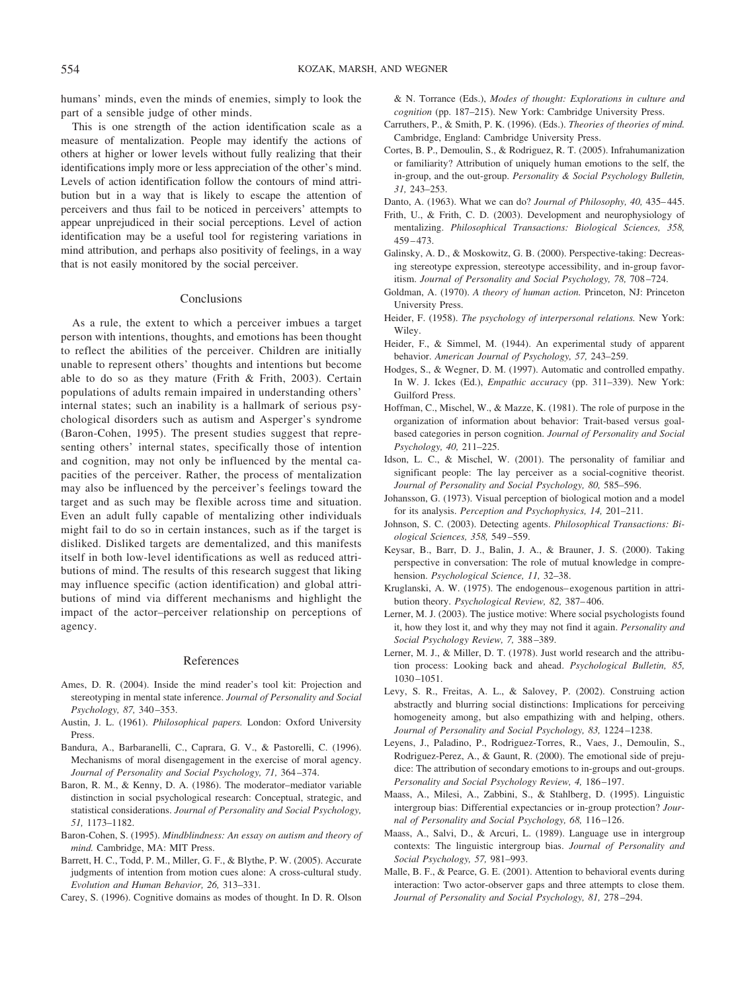humans' minds, even the minds of enemies, simply to look the part of a sensible judge of other minds.

This is one strength of the action identification scale as a measure of mentalization. People may identify the actions of others at higher or lower levels without fully realizing that their identifications imply more or less appreciation of the other's mind. Levels of action identification follow the contours of mind attribution but in a way that is likely to escape the attention of perceivers and thus fail to be noticed in perceivers' attempts to appear unprejudiced in their social perceptions. Level of action identification may be a useful tool for registering variations in mind attribution, and perhaps also positivity of feelings, in a way that is not easily monitored by the social perceiver.

#### Conclusions

As a rule, the extent to which a perceiver imbues a target person with intentions, thoughts, and emotions has been thought to reflect the abilities of the perceiver. Children are initially unable to represent others' thoughts and intentions but become able to do so as they mature (Frith & Frith, 2003). Certain populations of adults remain impaired in understanding others' internal states; such an inability is a hallmark of serious psychological disorders such as autism and Asperger's syndrome (Baron-Cohen, 1995). The present studies suggest that representing others' internal states, specifically those of intention and cognition, may not only be influenced by the mental capacities of the perceiver. Rather, the process of mentalization may also be influenced by the perceiver's feelings toward the target and as such may be flexible across time and situation. Even an adult fully capable of mentalizing other individuals might fail to do so in certain instances, such as if the target is disliked. Disliked targets are dementalized, and this manifests itself in both low-level identifications as well as reduced attributions of mind. The results of this research suggest that liking may influence specific (action identification) and global attributions of mind via different mechanisms and highlight the impact of the actor–perceiver relationship on perceptions of agency.

## References

- Ames, D. R. (2004). Inside the mind reader's tool kit: Projection and stereotyping in mental state inference. *Journal of Personality and Social Psychology, 87,* 340 –353.
- Austin, J. L. (1961). *Philosophical papers.* London: Oxford University Press.
- Bandura, A., Barbaranelli, C., Caprara, G. V., & Pastorelli, C. (1996). Mechanisms of moral disengagement in the exercise of moral agency. *Journal of Personality and Social Psychology, 71,* 364 –374.
- Baron, R. M., & Kenny, D. A. (1986). The moderator–mediator variable distinction in social psychological research: Conceptual, strategic, and statistical considerations. *Journal of Personality and Social Psychology, 51,* 1173–1182.
- Baron-Cohen, S. (1995). *Mindblindness: An essay on autism and theory of mind.* Cambridge, MA: MIT Press.
- Barrett, H. C., Todd, P. M., Miller, G. F., & Blythe, P. W. (2005). Accurate judgments of intention from motion cues alone: A cross-cultural study. *Evolution and Human Behavior, 26,* 313–331.
- Carey, S. (1996). Cognitive domains as modes of thought. In D. R. Olson

& N. Torrance (Eds.), *Modes of thought: Explorations in culture and cognition* (pp. 187–215). New York: Cambridge University Press.

- Carruthers, P., & Smith, P. K. (1996). (Eds.). *Theories of theories of mind.* Cambridge, England: Cambridge University Press.
- Cortes, B. P., Demoulin, S., & Rodriguez, R. T. (2005). Infrahumanization or familiarity? Attribution of uniquely human emotions to the self, the in-group, and the out-group. *Personality & Social Psychology Bulletin, 31,* 243–253.
- Danto, A. (1963). What we can do? *Journal of Philosophy, 40,* 435– 445.
- Frith, U., & Frith, C. D. (2003). Development and neurophysiology of mentalizing. *Philosophical Transactions: Biological Sciences, 358,* 459 – 473.
- Galinsky, A. D., & Moskowitz, G. B. (2000). Perspective-taking: Decreasing stereotype expression, stereotype accessibility, and in-group favoritism. *Journal of Personality and Social Psychology, 78,* 708 –724.
- Goldman, A. (1970). *A theory of human action.* Princeton, NJ: Princeton University Press.
- Heider, F. (1958). *The psychology of interpersonal relations.* New York: Wiley.
- Heider, F., & Simmel, M. (1944). An experimental study of apparent behavior. *American Journal of Psychology, 57,* 243–259.
- Hodges, S., & Wegner, D. M. (1997). Automatic and controlled empathy. In W. J. Ickes (Ed.), *Empathic accuracy* (pp. 311–339). New York: Guilford Press.
- Hoffman, C., Mischel, W., & Mazze, K. (1981). The role of purpose in the organization of information about behavior: Trait-based versus goalbased categories in person cognition. *Journal of Personality and Social Psychology, 40,* 211–225.
- Idson, L. C., & Mischel, W. (2001). The personality of familiar and significant people: The lay perceiver as a social-cognitive theorist. *Journal of Personality and Social Psychology, 80,* 585–596.
- Johansson, G. (1973). Visual perception of biological motion and a model for its analysis. *Perception and Psychophysics, 14,* 201–211.
- Johnson, S. C. (2003). Detecting agents. *Philosophical Transactions: Biological Sciences, 358,* 549 –559.
- Keysar, B., Barr, D. J., Balin, J. A., & Brauner, J. S. (2000). Taking perspective in conversation: The role of mutual knowledge in comprehension. *Psychological Science, 11,* 32–38.
- Kruglanski, A. W. (1975). The endogenous– exogenous partition in attribution theory. *Psychological Review, 82,* 387– 406.
- Lerner, M. J. (2003). The justice motive: Where social psychologists found it, how they lost it, and why they may not find it again. *Personality and Social Psychology Review, 7,* 388 –389.
- Lerner, M. J., & Miller, D. T. (1978). Just world research and the attribution process: Looking back and ahead. *Psychological Bulletin, 85,* 1030 –1051.
- Levy, S. R., Freitas, A. L., & Salovey, P. (2002). Construing action abstractly and blurring social distinctions: Implications for perceiving homogeneity among, but also empathizing with and helping, others. *Journal of Personality and Social Psychology, 83,* 1224 –1238.
- Leyens, J., Paladino, P., Rodriguez-Torres, R., Vaes, J., Demoulin, S., Rodriguez-Perez, A., & Gaunt, R. (2000). The emotional side of prejudice: The attribution of secondary emotions to in-groups and out-groups. *Personality and Social Psychology Review, 4,* 186 –197.
- Maass, A., Milesi, A., Zabbini, S., & Stahlberg, D. (1995). Linguistic intergroup bias: Differential expectancies or in-group protection? *Journal of Personality and Social Psychology, 68,* 116 –126.
- Maass, A., Salvi, D., & Arcuri, L. (1989). Language use in intergroup contexts: The linguistic intergroup bias. *Journal of Personality and Social Psychology, 57,* 981–993.
- Malle, B. F., & Pearce, G. E. (2001). Attention to behavioral events during interaction: Two actor-observer gaps and three attempts to close them. *Journal of Personality and Social Psychology, 81,* 278 –294.